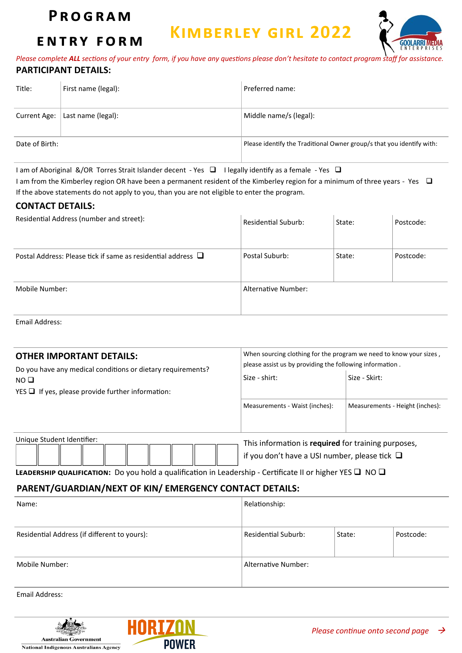### **P r o g r a m**

**e n t r y f o r m**

## **Kimberley girl 2022**



*Please complete ALL sections of your entry form, if you have any questions please don't hesitate to contact program staff for assistance.* **PARTICIPANT DETAILS:**

| Title:         | First name (legal): | Preferred name:                                                       |
|----------------|---------------------|-----------------------------------------------------------------------|
| Current Age:   | Last name (legal):  | Middle name/s (legal):                                                |
| Date of Birth: |                     | Please identify the Traditional Owner group/s that you identify with: |

I am of Aboriginal &/OR Torres Strait Islander decent - Yes ❑ I legally identify as a female - Yes ❑

I am from the Kimberley region OR have been a permanent resident of the Kimberley region for a minimum of three years - Yes ❑ If the above statements do not apply to you, than you are not eligible to enter the program.

#### **CONTACT DETAILS:**

| Residential Address (number and street):                          | <b>Residential Suburb:</b> | State: | Postcode: |
|-------------------------------------------------------------------|----------------------------|--------|-----------|
| Postal Address: Please tick if same as residential address $\Box$ | Postal Suburb:             | State: | Postcode: |
| Mobile Number:                                                    | Alternative Number:        |        |           |

Email Address:

| <b>OTHER IMPORTANT DETAILS:</b><br>Do you have any medical conditions or dietary requirements? | When sourcing clothing for the program we need to know your sizes,<br>please assist us by providing the following information. |                                 |  |  |  |
|------------------------------------------------------------------------------------------------|--------------------------------------------------------------------------------------------------------------------------------|---------------------------------|--|--|--|
| NO <sub>D</sub><br>$YES \Box$ If yes, please provide further information:                      | Size - shirt:                                                                                                                  | Size - Skirt:                   |  |  |  |
|                                                                                                | Measurements - Waist (inches):                                                                                                 | Measurements - Height (inches): |  |  |  |
| Unique Student Identifier:                                                                     | This information is required for training purposes,<br>if you don't have a USI number, please tick $\Box$                      |                                 |  |  |  |

|  |  |  |  |  | <b>LEADERSHIP QUALIFICATION:</b> Do you hold a qualification in Leadership - Certificate II or higher YES $\Box$ NO $\Box$ |  |  |
|--|--|--|--|--|----------------------------------------------------------------------------------------------------------------------------|--|--|
|  |  |  |  |  |                                                                                                                            |  |  |

#### **PARENT/GUARDIAN/NEXT OF KIN/ EMERGENCY CONTACT DETAILS:**

| Name:                                        | Relationship:              |        |           |  |  |  |
|----------------------------------------------|----------------------------|--------|-----------|--|--|--|
| Residential Address (if different to yours): | <b>Residential Suburb:</b> | State: | Postcode: |  |  |  |
| Mobile Number:                               | Alternative Number:        |        |           |  |  |  |

Email Address: